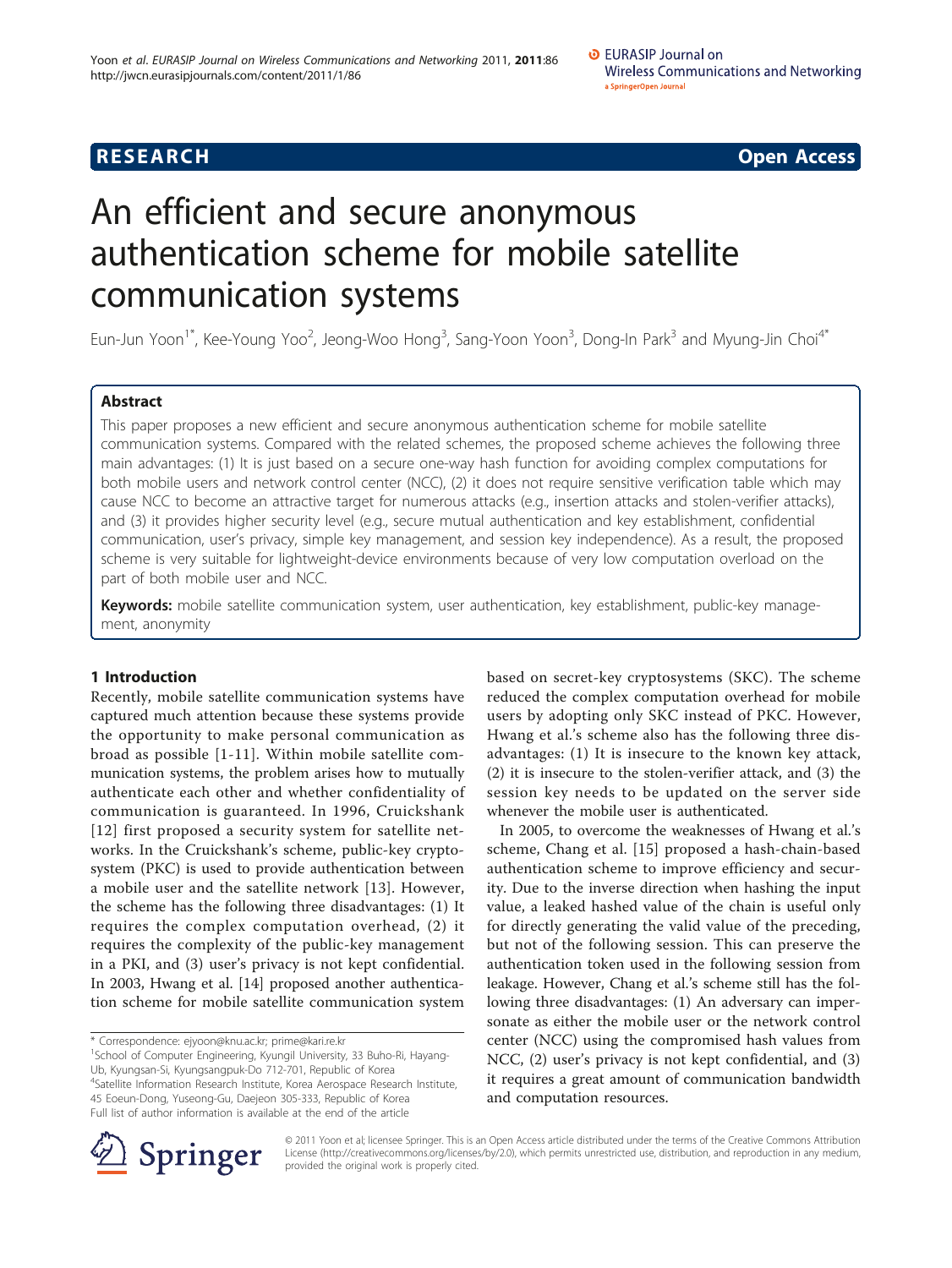# **RESEARCH CONSTRUCTION CONSTRUCTS**

# An efficient and secure anonymous authentication scheme for mobile satellite communication systems

Eun-Jun Yoon<sup>1\*</sup>, Kee-Young Yoo<sup>2</sup>, Jeong-Woo Hong<sup>3</sup>, Sang-Yoon Yoon<sup>3</sup>, Dong-In Park<sup>3</sup> and Myung-Jin Choi<sup>4\*</sup>

## Abstract

This paper proposes a new efficient and secure anonymous authentication scheme for mobile satellite communication systems. Compared with the related schemes, the proposed scheme achieves the following three main advantages: (1) It is just based on a secure one-way hash function for avoiding complex computations for both mobile users and network control center (NCC), (2) it does not require sensitive verification table which may cause NCC to become an attractive target for numerous attacks (e.g., insertion attacks and stolen-verifier attacks), and (3) it provides higher security level (e.g., secure mutual authentication and key establishment, confidential communication, user's privacy, simple key management, and session key independence). As a result, the proposed scheme is very suitable for lightweight-device environments because of very low computation overload on the part of both mobile user and NCC.

Keywords: mobile satellite communication system, user authentication, key establishment, public-key management, anonymity

### 1 Introduction

Recently, mobile satellite communication systems have captured much attention because these systems provide the opportunity to make personal communication as broad as possible [[1-11\]](#page-9-0). Within mobile satellite communication systems, the problem arises how to mutually authenticate each other and whether confidentiality of communication is guaranteed. In 1996, Cruickshank [[12](#page-9-0)] first proposed a security system for satellite networks. In the Cruickshank's scheme, public-key cryptosystem (PKC) is used to provide authentication between a mobile user and the satellite network [[13\]](#page-9-0). However, the scheme has the following three disadvantages: (1) It requires the complex computation overhead, (2) it requires the complexity of the public-key management in a PKI, and (3) user's privacy is not kept confidential. In 2003, Hwang et al. [\[14](#page-9-0)] proposed another authentication scheme for mobile satellite communication system

based on secret-key cryptosystems (SKC). The scheme reduced the complex computation overhead for mobile users by adopting only SKC instead of PKC. However, Hwang et al.'s scheme also has the following three disadvantages: (1) It is insecure to the known key attack, (2) it is insecure to the stolen-verifier attack, and (3) the session key needs to be updated on the server side whenever the mobile user is authenticated.

In 2005, to overcome the weaknesses of Hwang et al.'s scheme, Chang et al. [\[15](#page-9-0)] proposed a hash-chain-based authentication scheme to improve efficiency and security. Due to the inverse direction when hashing the input value, a leaked hashed value of the chain is useful only for directly generating the valid value of the preceding, but not of the following session. This can preserve the authentication token used in the following session from leakage. However, Chang et al.'s scheme still has the following three disadvantages: (1) An adversary can impersonate as either the mobile user or the network control center (NCC) using the compromised hash values from NCC, (2) user's privacy is not kept confidential, and (3) it requires a great amount of communication bandwidth and computation resources.



© 2011 Yoon et al; licensee Springer. This is an Open Access article distributed under the terms of the Creative Commons Attribution License [\(http://creativecommons.org/licenses/by/2.0](http://creativecommons.org/licenses/by/2.0)), which permits unrestricted use, distribution, and reproduction in any medium, provided the original work is properly cited.

<sup>\*</sup> Correspondence: [ejyoon@knu.ac.kr](mailto:ejyoon@knu.ac.kr); [prime@kari.re.kr](mailto:prime@kari.re.kr)

<sup>&</sup>lt;sup>1</sup>School of Computer Engineering, Kyungil University, 33 Buho-Ri, Hayang-Ub, Kyungsan-Si, Kyungsangpuk-Do 712-701, Republic of Korea 4 Satellite Information Research Institute, Korea Aerospace Research Institute, 45 Eoeun-Dong, Yuseong-Gu, Daejeon 305-333, Republic of Korea Full list of author information is available at the end of the article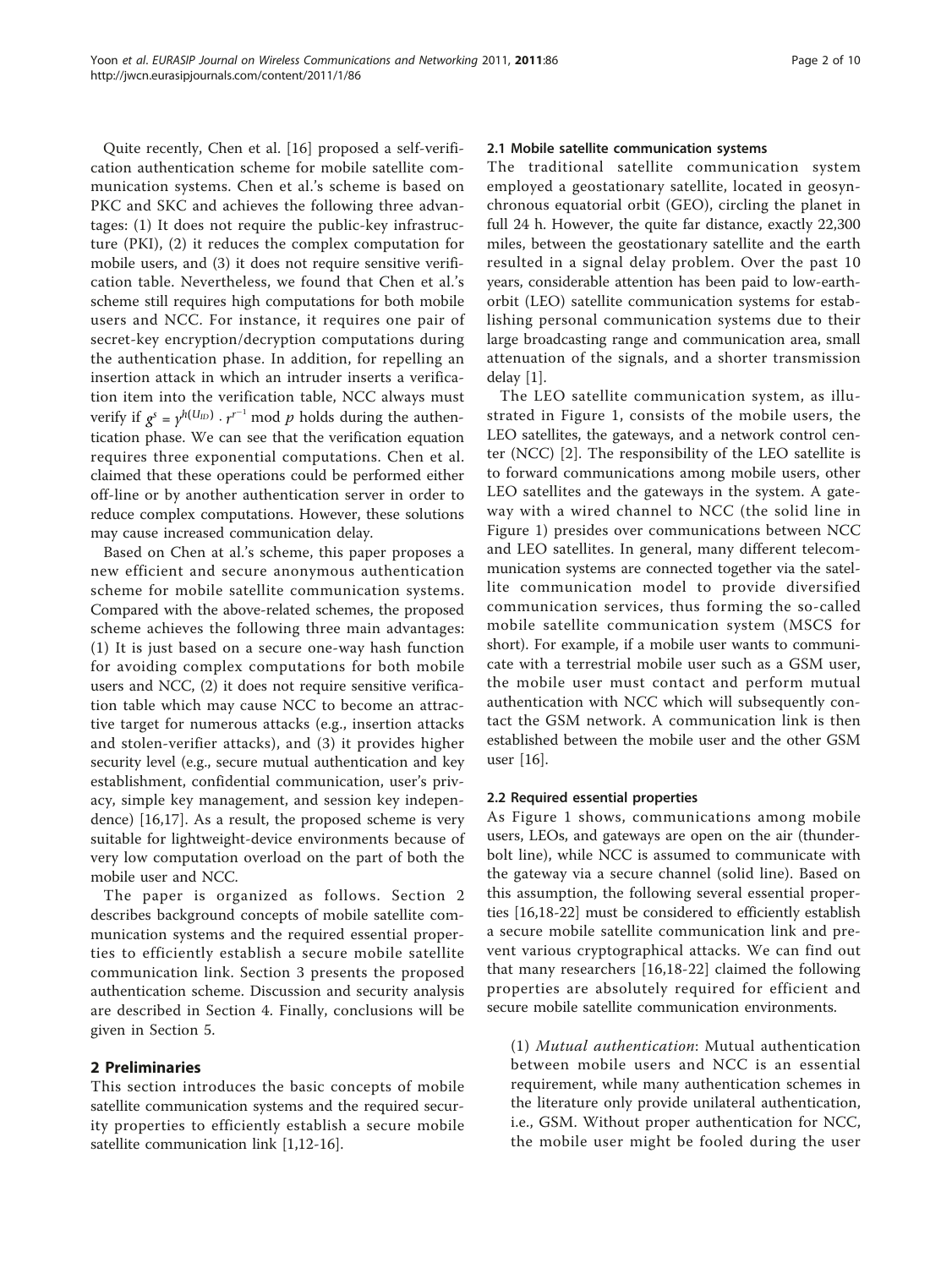Quite recently, Chen et al. [\[16](#page-9-0)] proposed a self-verification authentication scheme for mobile satellite communication systems. Chen et al.'s scheme is based on PKC and SKC and achieves the following three advantages: (1) It does not require the public-key infrastructure (PKI), (2) it reduces the complex computation for mobile users, and (3) it does not require sensitive verification table. Nevertheless, we found that Chen et al.'s scheme still requires high computations for both mobile users and NCC. For instance, it requires one pair of secret-key encryption/decryption computations during the authentication phase. In addition, for repelling an insertion attack in which an intruder inserts a verification item into the verification table, NCC always must verify if  $g^s = y^{h(U_{ID})} \cdot r^{r-1} \mod p$  holds during the authentication phase. We can see that the verification equation requires three exponential computations. Chen et al. claimed that these operations could be performed either off-line or by another authentication server in order to reduce complex computations. However, these solutions may cause increased communication delay.

Based on Chen at al.'s scheme, this paper proposes a new efficient and secure anonymous authentication scheme for mobile satellite communication systems. Compared with the above-related schemes, the proposed scheme achieves the following three main advantages: (1) It is just based on a secure one-way hash function for avoiding complex computations for both mobile users and NCC, (2) it does not require sensitive verification table which may cause NCC to become an attractive target for numerous attacks (e.g., insertion attacks and stolen-verifier attacks), and (3) it provides higher security level (e.g., secure mutual authentication and key establishment, confidential communication, user's privacy, simple key management, and session key independence) [\[16](#page-9-0),[17](#page-9-0)]. As a result, the proposed scheme is very suitable for lightweight-device environments because of very low computation overload on the part of both the mobile user and NCC.

The paper is organized as follows. Section 2 describes background concepts of mobile satellite communication systems and the required essential properties to efficiently establish a secure mobile satellite communication link. Section 3 presents the proposed authentication scheme. Discussion and security analysis are described in Section 4. Finally, conclusions will be given in Section 5.

#### 2 Preliminaries

This section introduces the basic concepts of mobile satellite communication systems and the required security properties to efficiently establish a secure mobile satellite communication link [[1,12](#page-9-0)-[16\]](#page-9-0).

#### 2.1 Mobile satellite communication systems

The traditional satellite communication system employed a geostationary satellite, located in geosynchronous equatorial orbit (GEO), circling the planet in full 24 h. However, the quite far distance, exactly 22,300 miles, between the geostationary satellite and the earth resulted in a signal delay problem. Over the past 10 years, considerable attention has been paid to low-earthorbit (LEO) satellite communication systems for establishing personal communication systems due to their large broadcasting range and communication area, small attenuation of the signals, and a shorter transmission delay [[1\]](#page-9-0).

The LEO satellite communication system, as illustrated in Figure [1,](#page-2-0) consists of the mobile users, the LEO satellites, the gateways, and a network control center (NCC) [[2\]](#page-9-0). The responsibility of the LEO satellite is to forward communications among mobile users, other LEO satellites and the gateways in the system. A gateway with a wired channel to NCC (the solid line in Figure [1\)](#page-2-0) presides over communications between NCC and LEO satellites. In general, many different telecommunication systems are connected together via the satellite communication model to provide diversified communication services, thus forming the so-called mobile satellite communication system (MSCS for short). For example, if a mobile user wants to communicate with a terrestrial mobile user such as a GSM user, the mobile user must contact and perform mutual authentication with NCC which will subsequently contact the GSM network. A communication link is then established between the mobile user and the other GSM user [\[16\]](#page-9-0).

#### 2.2 Required essential properties

As Figure [1](#page-2-0) shows, communications among mobile users, LEOs, and gateways are open on the air (thunderbolt line), while NCC is assumed to communicate with the gateway via a secure channel (solid line). Based on this assumption, the following several essential properties [[16,18-22\]](#page-9-0) must be considered to efficiently establish a secure mobile satellite communication link and prevent various cryptographical attacks. We can find out that many researchers [[16,18](#page-9-0)-[22\]](#page-9-0) claimed the following properties are absolutely required for efficient and secure mobile satellite communication environments.

(1) Mutual authentication: Mutual authentication between mobile users and NCC is an essential requirement, while many authentication schemes in the literature only provide unilateral authentication, i.e., GSM. Without proper authentication for NCC, the mobile user might be fooled during the user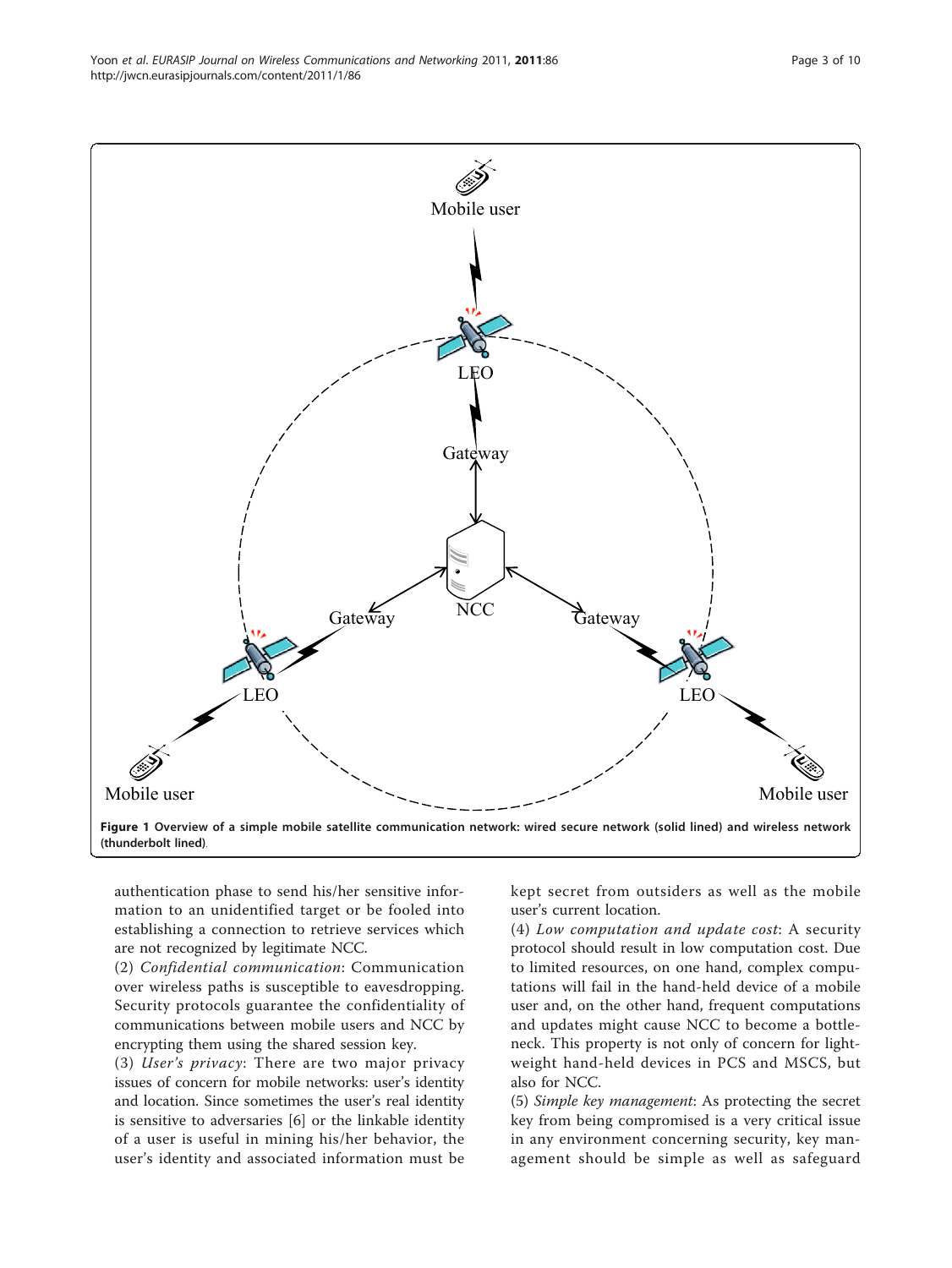<span id="page-2-0"></span>Yoon et al. EURASIP Journal on Wireless Communications and Networking 2011, 2011:86 http://jwcn.eurasipjournals.com/content/2011/1/86



authentication phase to send his/her sensitive information to an unidentified target or be fooled into establishing a connection to retrieve services which are not recognized by legitimate NCC.

(2) Confidential communication: Communication over wireless paths is susceptible to eavesdropping. Security protocols guarantee the confidentiality of communications between mobile users and NCC by encrypting them using the shared session key.

(3) User's privacy: There are two major privacy issues of concern for mobile networks: user's identity and location. Since sometimes the user's real identity is sensitive to adversaries [\[6](#page-9-0)] or the linkable identity of a user is useful in mining his/her behavior, the user's identity and associated information must be

kept secret from outsiders as well as the mobile user's current location.

(4) Low computation and update cost: A security protocol should result in low computation cost. Due to limited resources, on one hand, complex computations will fail in the hand-held device of a mobile user and, on the other hand, frequent computations and updates might cause NCC to become a bottleneck. This property is not only of concern for lightweight hand-held devices in PCS and MSCS, but also for NCC.

(5) Simple key management: As protecting the secret key from being compromised is a very critical issue in any environment concerning security, key management should be simple as well as safeguard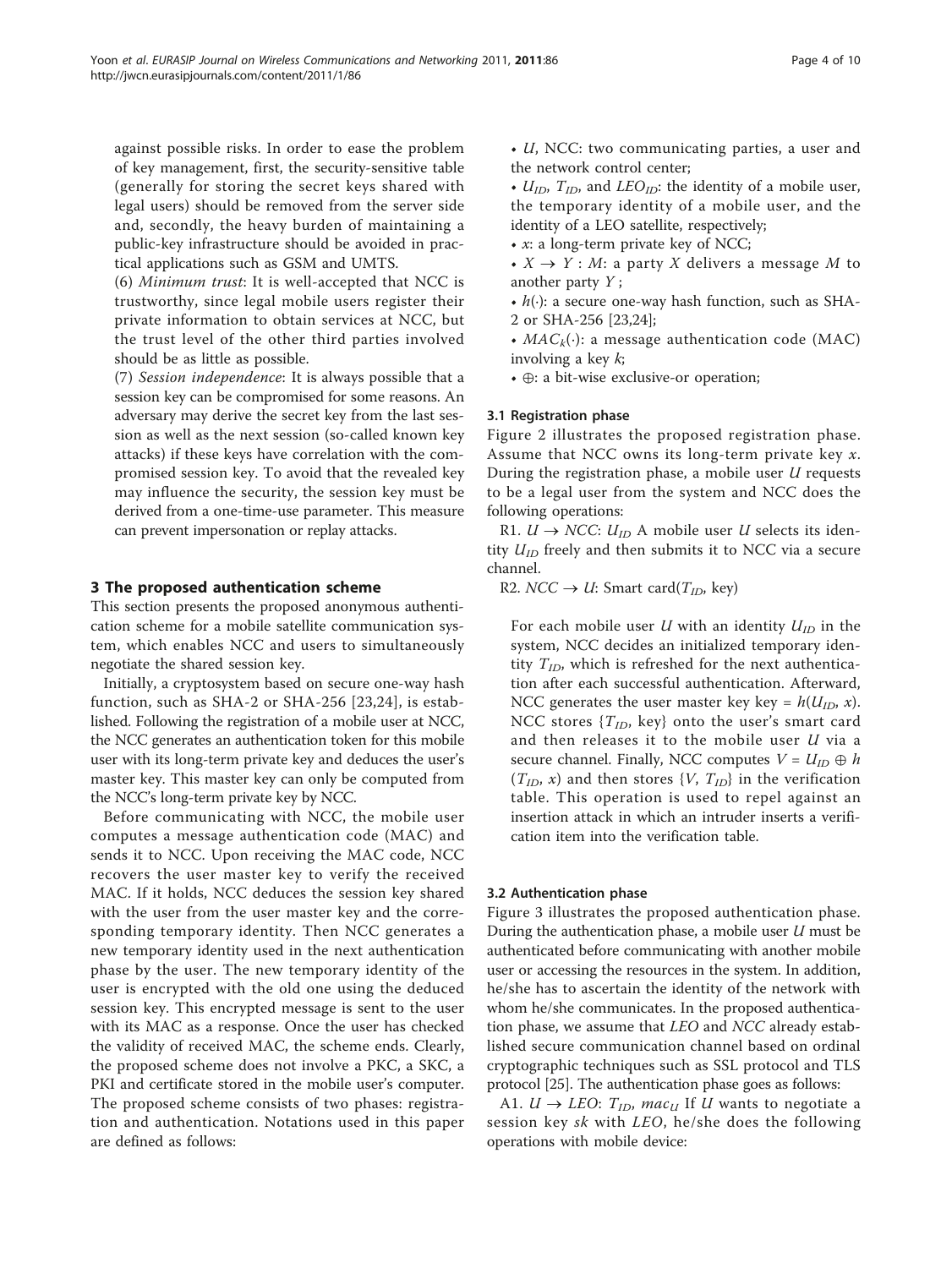against possible risks. In order to ease the problem of key management, first, the security-sensitive table (generally for storing the secret keys shared with legal users) should be removed from the server side and, secondly, the heavy burden of maintaining a public-key infrastructure should be avoided in practical applications such as GSM and UMTS.

(6) Minimum trust: It is well-accepted that NCC is trustworthy, since legal mobile users register their private information to obtain services at NCC, but the trust level of the other third parties involved should be as little as possible.

(7) Session independence: It is always possible that a session key can be compromised for some reasons. An adversary may derive the secret key from the last session as well as the next session (so-called known key attacks) if these keys have correlation with the compromised session key. To avoid that the revealed key may influence the security, the session key must be derived from a one-time-use parameter. This measure can prevent impersonation or replay attacks.

#### 3 The proposed authentication scheme

This section presents the proposed anonymous authentication scheme for a mobile satellite communication system, which enables NCC and users to simultaneously negotiate the shared session key.

Initially, a cryptosystem based on secure one-way hash function, such as SHA-2 or SHA-256 [[23,24](#page-9-0)], is established. Following the registration of a mobile user at NCC, the NCC generates an authentication token for this mobile user with its long-term private key and deduces the user's master key. This master key can only be computed from the NCC's long-term private key by NCC.

Before communicating with NCC, the mobile user computes a message authentication code (MAC) and sends it to NCC. Upon receiving the MAC code, NCC recovers the user master key to verify the received MAC. If it holds, NCC deduces the session key shared with the user from the user master key and the corresponding temporary identity. Then NCC generates a new temporary identity used in the next authentication phase by the user. The new temporary identity of the user is encrypted with the old one using the deduced session key. This encrypted message is sent to the user with its MAC as a response. Once the user has checked the validity of received MAC, the scheme ends. Clearly, the proposed scheme does not involve a PKC, a SKC, a PKI and certificate stored in the mobile user's computer. The proposed scheme consists of two phases: registration and authentication. Notations used in this paper are defined as follows:

 $\bullet$  U, NCC: two communicating parties, a user and the network control center;

•  $U_{ID}$ ,  $T_{ID}$ , and  $LEO_{ID}$ : the identity of a mobile user, the temporary identity of a mobile user, and the identity of a LEO satellite, respectively;

•  $x$ : a long-term private key of NCC;

•  $X \rightarrow Y : M$ : a party X delivers a message M to another party Y ;

•  $h(\cdot)$ : a secure one-way hash function, such as SHA-2 or SHA-256 [[23,24](#page-9-0)];

•  $MAC_{k}(\cdot)$ : a message authentication code (MAC) involving a key  $k$ ;

• ⊕: a bit-wise exclusive-or operation;

#### 3.1 Registration phase

Figure [2](#page-4-0) illustrates the proposed registration phase. Assume that NCC owns its long-term private key  $x$ . During the registration phase, a mobile user  $U$  requests to be a legal user from the system and NCC does the following operations:

R1.  $U \rightarrow NCC$ :  $U_{ID}$  A mobile user U selects its identity  $U_{ID}$  freely and then submits it to NCC via a secure channel.

R2.  $NCC \rightarrow U$ : Smart card( $T_{ID}$ , key)

For each mobile user  $U$  with an identity  $U_{ID}$  in the system, NCC decides an initialized temporary identity  $T_{ID}$ , which is refreshed for the next authentication after each successful authentication. Afterward, NCC generates the user master key key =  $h(U_{ID}, x)$ . NCC stores  ${T<sub>ID</sub>}$ , key} onto the user's smart card and then releases it to the mobile user  $U$  via a secure channel. Finally, NCC computes  $V = U_{ID} \oplus h$  $(T_{ID}, x)$  and then stores  $\{V, T_{ID}\}$  in the verification table. This operation is used to repel against an insertion attack in which an intruder inserts a verification item into the verification table.

#### 3.2 Authentication phase

Figure [3](#page-4-0) illustrates the proposed authentication phase. During the authentication phase, a mobile user  $U$  must be authenticated before communicating with another mobile user or accessing the resources in the system. In addition, he/she has to ascertain the identity of the network with whom he/she communicates. In the proposed authentication phase, we assume that LEO and NCC already established secure communication channel based on ordinal cryptographic techniques such as SSL protocol and TLS protocol [[25](#page-9-0)]. The authentication phase goes as follows:

A1.  $U \rightarrow LEO: T_{ID}$ , mac<sub>U</sub> If U wants to negotiate a session key sk with LEO, he/she does the following operations with mobile device: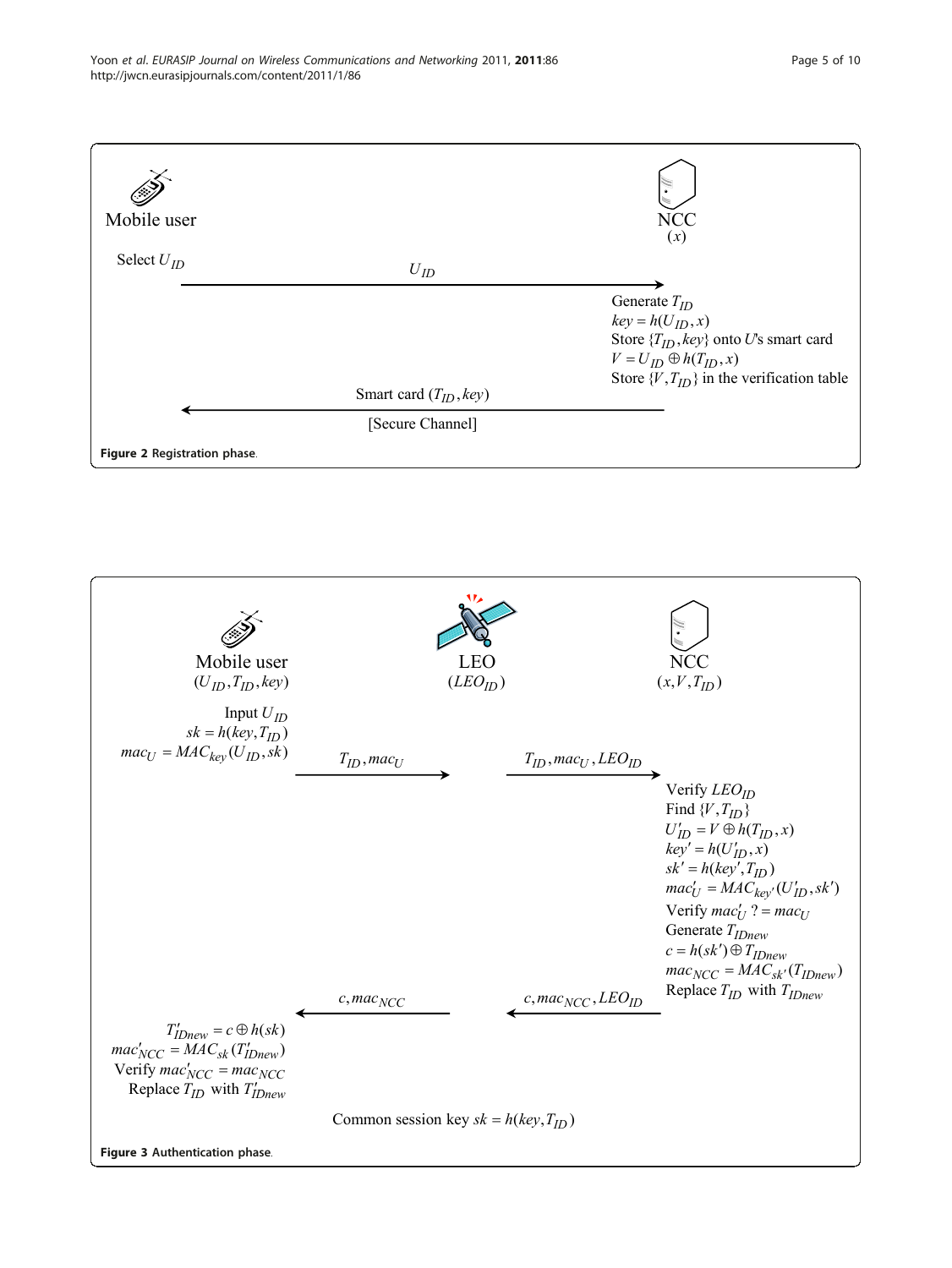<span id="page-4-0"></span>

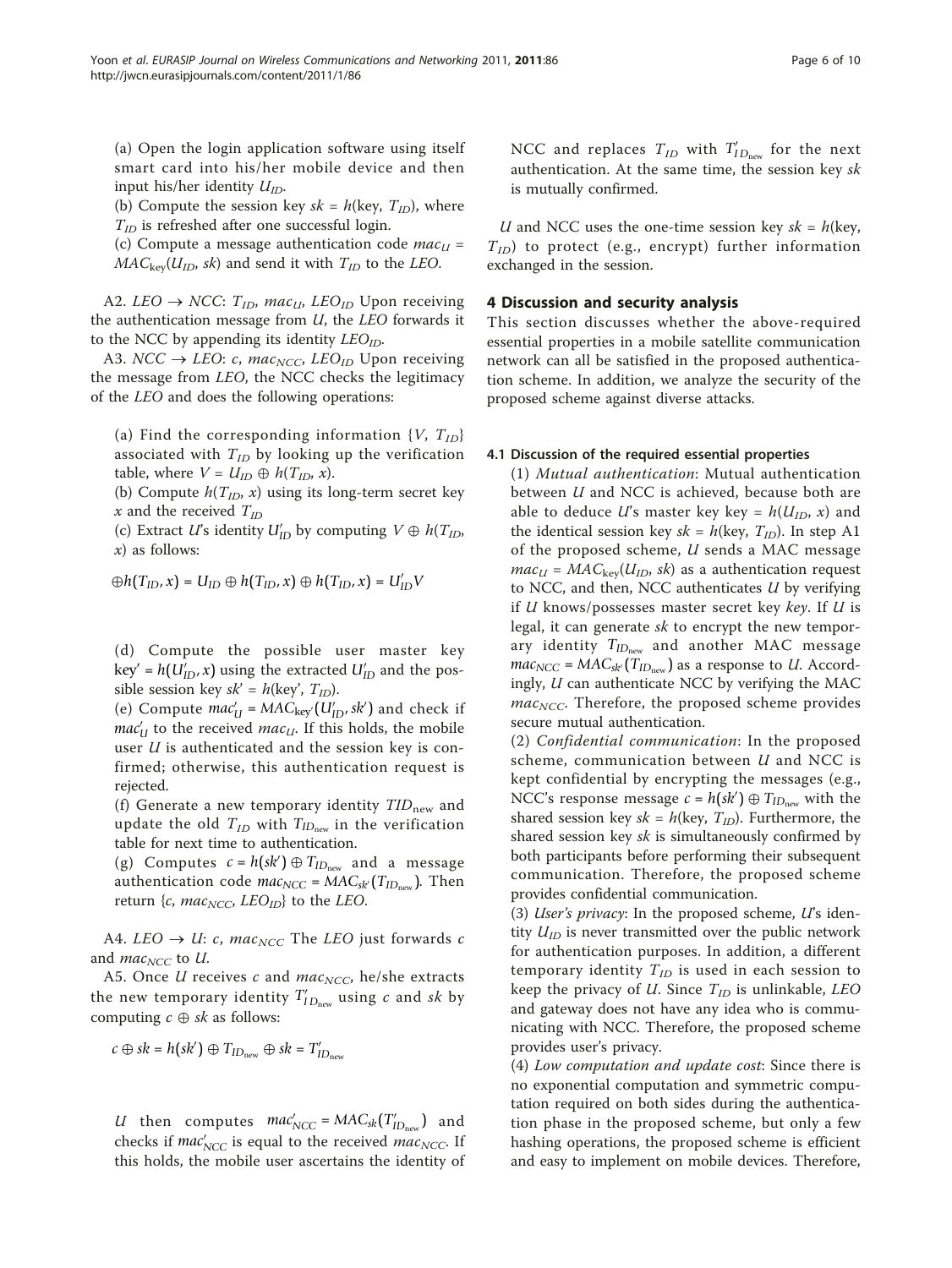(a) Open the login application software using itself smart card into his/her mobile device and then input his/her identity  $U_{ID}$ .

(b) Compute the session key  $sk = h(\text{key}, T_{ID})$ , where  $T_{ID}$  is refreshed after one successful login.

(c) Compute a message authentication code  $mac_U =$  $MAC_{key}(U_{ID}, sk)$  and send it with  $T_{ID}$  to the LEO.

A2. LEO  $\rightarrow$  NCC:  $T_{ID}$ , mac<sub>U</sub>, LEO<sub>ID</sub> Upon receiving the authentication message from  $U$ , the  $LEO$  forwards it to the NCC by appending its identity  $LEO<sub>ID</sub>$ .

A3. NCC  $\rightarrow$  LEO: c, mac<sub>NCC</sub>, LEO<sub>ID</sub> Upon receiving the message from LEO, the NCC checks the legitimacy of the LEO and does the following operations:

(a) Find the corresponding information  $\{V, T_{ID}\}$ associated with  $T_{ID}$  by looking up the verification table, where  $V = U_{ID} \oplus h(T_{ID}, x)$ .

(b) Compute  $h(T_{ID}, x)$  using its long-term secret key x and the received  $T_{ID}$ 

(c) Extract *U*'s identity  $U'_{ID}$  by computing  $V \oplus h(T_{ID},$  $x)$  as follows:

$$
\oplus h(T_{ID},x) = U_{ID} \oplus h(T_{ID},x) \oplus h(T_{ID},x) = U'_{ID}V
$$

(d) Compute the possible user master key  $\text{key}' = h(U'_{ID}, x)$  using the extracted  $U'_{ID}$  and the possible session key  $s k' = h(\text{key}, T_{ID})$ .

(e) Compute  $mac'_U = MAC_{key'}(U'_{ID}, sk')$  and check if  $mac'_U$  to the received  $mac_U$ . If this holds, the mobile user  $U$  is authenticated and the session key is confirmed; otherwise, this authentication request is rejected.

(f) Generate a new temporary identity  $TID_{new}$  and update the old  $T_{ID}$  with  $T_{ID_{new}}$  in the verification table for next time to authentication.

(g) Computes  $c = h(sk') \oplus T_{ID_{new}}$  and a message authentication code *mac<sub>NCC</sub>* =  $MAC_{sk'}(T_{ID_{new}})$ . Then return { $c$ , mac<sub>NCC</sub>, LEO<sub>ID</sub>} to the LEO.

A4. LEO  $\rightarrow U$ : c, mac<sub>NCC</sub> The LEO just forwards c and  $mac_{NCC}$  to U.

A5. Once *U* receives *c* and  $mac_{NCC}$ , he/she extracts the new temporary identity  $T'_{I D_{\mathrm{new}}}$  using  $c$  and  $sk$  by computing  $c \oplus sk$  as follows:

$$
c \oplus sk = h(sk') \oplus T_{ID_{new}} \oplus sk = T'_{ID_{new}}
$$

U then computes  $mac'_{NCC} = MAC_{sk}(T'_{ID_{new}})$  and checks if  $mac'_{NCC}$  is equal to the received  $mac_{NCC}$ . If this holds, the mobile user ascertains the identity of NCC and replaces  $T_{ID}$  with  $T'_{ID_{new}}$  for the next authentication. At the same time, the session key sk is mutually confirmed.

U and NCC uses the one-time session key  $sk = h$ (key,  $T_{ID}$ ) to protect (e.g., encrypt) further information exchanged in the session.

#### 4 Discussion and security analysis

This section discusses whether the above-required essential properties in a mobile satellite communication network can all be satisfied in the proposed authentication scheme. In addition, we analyze the security of the proposed scheme against diverse attacks.

#### 4.1 Discussion of the required essential properties

(1) Mutual authentication: Mutual authentication between  $U$  and NCC is achieved, because both are able to deduce U's master key key =  $h(U_{ID}, x)$  and the identical session key  $sk = h(\text{key}, T_{ID})$ . In step A1 of the proposed scheme, U sends a MAC message  $mac_U = MAC_{\text{kev}}(U_{ID}, sk)$  as a authentication request to NCC, and then, NCC authenticates  $U$  by verifying if  $U$  knows/possesses master secret key key. If  $U$  is legal, it can generate sk to encrypt the new temporary identity  $T_{ID<sub>new</sub>}$  and another MAC message  $mac_{NCC} = MAC_{sk'}(T_{ID<sub>new</sub>})$  as a response to U. Accordingly,  $U$  can authenticate NCC by verifying the MAC  $mac_{NCC}$ . Therefore, the proposed scheme provides secure mutual authentication.

(2) Confidential communication: In the proposed scheme, communication between  $U$  and NCC is kept confidential by encrypting the messages (e.g., NCC's response message  $c = h(s k') \oplus T_{ID_{\text{new}}}$  with the shared session key  $sk = h$ (key,  $T_{ID}$ ). Furthermore, the shared session key  $sk$  is simultaneously confirmed by both participants before performing their subsequent communication. Therefore, the proposed scheme provides confidential communication.

(3) User's privacy: In the proposed scheme,  $U$ 's identity  $U_{ID}$  is never transmitted over the public network for authentication purposes. In addition, a different temporary identity  $T_{ID}$  is used in each session to keep the privacy of  $U$ . Since  $T_{ID}$  is unlinkable, LEO and gateway does not have any idea who is communicating with NCC. Therefore, the proposed scheme provides user's privacy.

(4) Low computation and update cost: Since there is no exponential computation and symmetric computation required on both sides during the authentication phase in the proposed scheme, but only a few hashing operations, the proposed scheme is efficient and easy to implement on mobile devices. Therefore,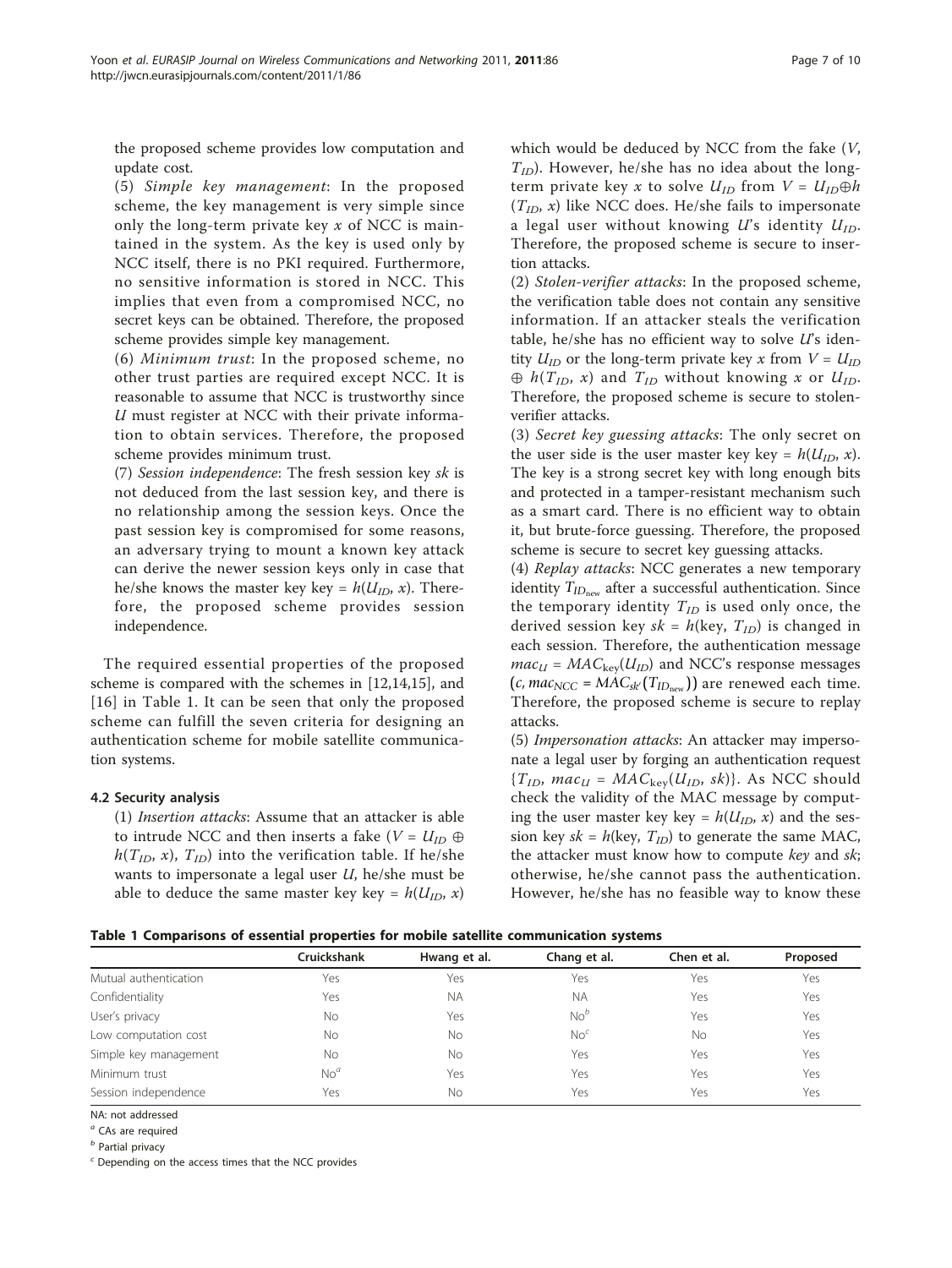the proposed scheme provides low computation and update cost.

(5) Simple key management: In the proposed scheme, the key management is very simple since only the long-term private key  $x$  of NCC is maintained in the system. As the key is used only by NCC itself, there is no PKI required. Furthermore, no sensitive information is stored in NCC. This implies that even from a compromised NCC, no secret keys can be obtained. Therefore, the proposed scheme provides simple key management.

(6) Minimum trust: In the proposed scheme, no other trust parties are required except NCC. It is reasonable to assume that NCC is trustworthy since U must register at NCC with their private information to obtain services. Therefore, the proposed scheme provides minimum trust.

(7) Session independence: The fresh session key sk is not deduced from the last session key, and there is no relationship among the session keys. Once the past session key is compromised for some reasons, an adversary trying to mount a known key attack can derive the newer session keys only in case that he/she knows the master key key =  $h(U_{ID}, x)$ . Therefore, the proposed scheme provides session independence.

The required essential properties of the proposed scheme is compared with the schemes in [\[12,14,15\]](#page-9-0), and [[16](#page-9-0)] in Table 1. It can be seen that only the proposed scheme can fulfill the seven criteria for designing an authentication scheme for mobile satellite communication systems.

#### 4.2 Security analysis

(1) Insertion attacks: Assume that an attacker is able to intrude NCC and then inserts a fake ( $V = U_{ID} \oplus$  $h(T<sub>ID</sub>, x)$ ,  $T<sub>ID</sub>$ ) into the verification table. If he/she wants to impersonate a legal user  $U$ , he/she must be able to deduce the same master key key =  $h(U_{ID}, x)$ 

which would be deduced by NCC from the fake  $(V,$  $T_{ID}$ ). However, he/she has no idea about the longterm private key x to solve  $U_{ID}$  from  $V = U_{ID} \oplus h$  $(T_{ID}, x)$  like NCC does. He/she fails to impersonate a legal user without knowing  $U$ 's identity  $U_{ID}$ . Therefore, the proposed scheme is secure to insertion attacks.

(2) Stolen-verifier attacks: In the proposed scheme, the verification table does not contain any sensitive information. If an attacker steals the verification table, he/she has no efficient way to solve  $U$ 's identity  $U_{ID}$  or the long-term private key x from  $V = U_{ID}$  $\oplus$  h(T<sub>ID</sub>, x) and T<sub>ID</sub> without knowing x or U<sub>ID</sub>. Therefore, the proposed scheme is secure to stolenverifier attacks.

(3) Secret key guessing attacks: The only secret on the user side is the user master key key =  $h(U_{ID}, x)$ . The key is a strong secret key with long enough bits and protected in a tamper-resistant mechanism such as a smart card. There is no efficient way to obtain it, but brute-force guessing. Therefore, the proposed scheme is secure to secret key guessing attacks.

(4) Replay attacks: NCC generates a new temporary identity *T<sub>IDnew</sub>* after a successful authentication. Since the temporary identity  $T_{ID}$  is used only once, the derived session key  $sk = h(\text{key}, T_{ID})$  is changed in each session. Therefore, the authentication message  $mac_U = MAC_{key}(U_{ID})$  and NCC's response messages  $(c, mac<sub>NCC</sub> = MAC<sub>sk</sub>(T<sub>IDnew</sub>))$  are renewed each time. Therefore, the proposed scheme is secure to replay attacks.

(5) Impersonation attacks: An attacker may impersonate a legal user by forging an authentication request  ${T_{ID}$ , mac<sub>U</sub> = MAC<sub>key</sub>(U<sub>ID</sub>, sk)}. As NCC should check the validity of the MAC message by computing the user master key key =  $h(U_{ID}, x)$  and the session key  $sk = h(\text{key}, T_D)$  to generate the same MAC, the attacker must know how to compute key and sk; otherwise, he/she cannot pass the authentication. However, he/she has no feasible way to know these

|  |  |  |  |  | Table 1 Comparisons of essential properties for mobile satellite communication systems |  |
|--|--|--|--|--|----------------------------------------------------------------------------------------|--|
|  |  |  |  |  |                                                                                        |  |

| Cruickshank | Hwang et al. | Chang et al.    | Chen et al. | Proposed |
|-------------|--------------|-----------------|-------------|----------|
| Yes         | Yes          | Yes             | Yes         | Yes      |
| Yes         | <b>NA</b>    | <b>NA</b>       | Yes         | Yes      |
| No          | Yes          | $No^b$          | Yes         | Yes      |
| No          | No           | No <sup>c</sup> | No          | Yes      |
| No          | Nο           | Yes             | Yes         | Yes      |
| $No^a$      | Yes          | Yes             | Yes         | Yes      |
| Yes         | No.          | Yes             | Yes         | Yes      |
|             |              |                 |             |          |

NA: not addressed

 $a$  CAs are required

*b* Partial privacy

 $c$  Depending on the access times that the NCC provides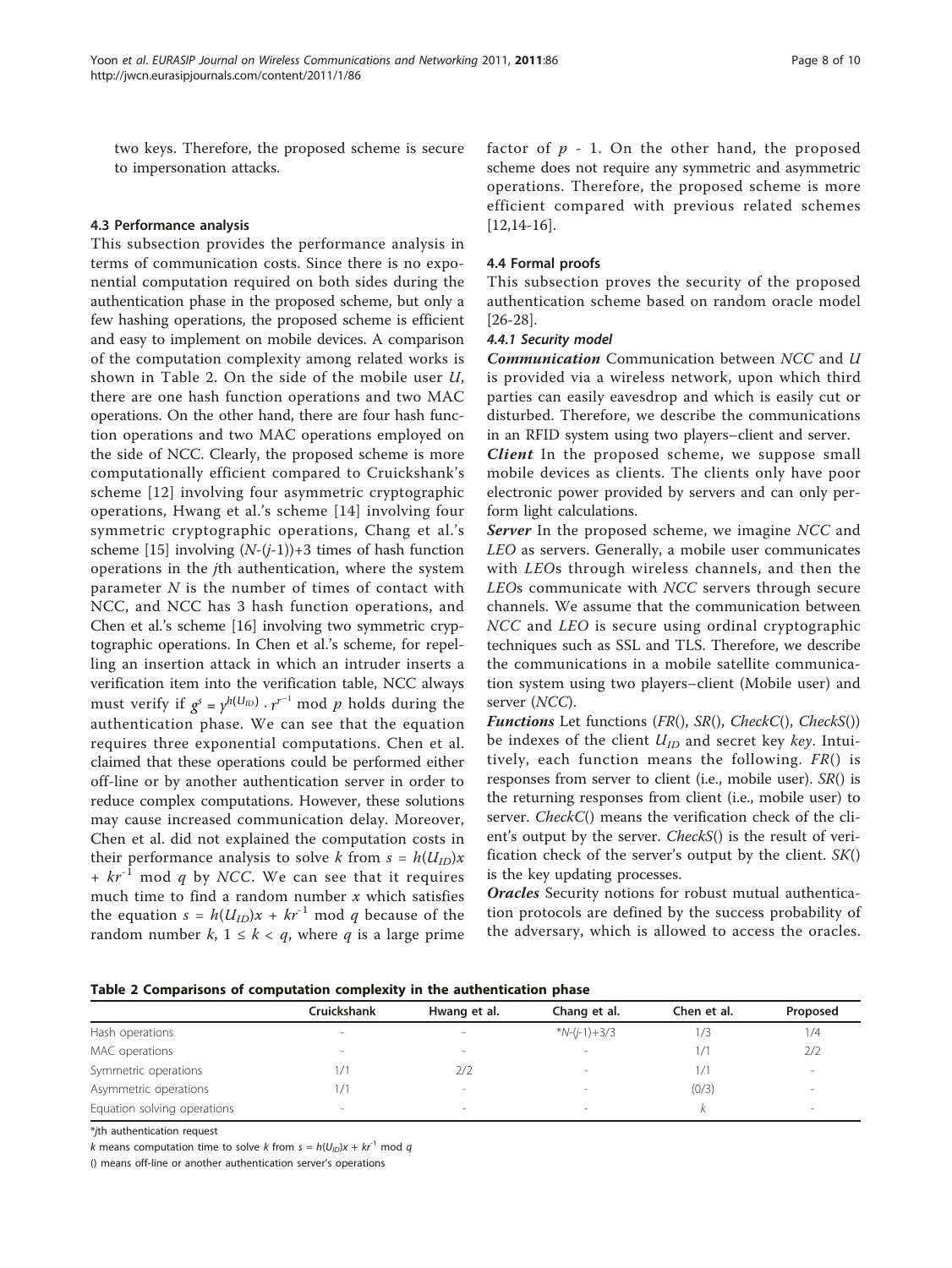two keys. Therefore, the proposed scheme is secure to impersonation attacks.

#### 4.3 Performance analysis

This subsection provides the performance analysis in terms of communication costs. Since there is no exponential computation required on both sides during the authentication phase in the proposed scheme, but only a few hashing operations, the proposed scheme is efficient and easy to implement on mobile devices. A comparison of the computation complexity among related works is shown in Table 2. On the side of the mobile user U, there are one hash function operations and two MAC operations. On the other hand, there are four hash function operations and two MAC operations employed on the side of NCC. Clearly, the proposed scheme is more computationally efficient compared to Cruickshank's scheme [[12](#page-9-0)] involving four asymmetric cryptographic operations, Hwang et al.'s scheme [[14\]](#page-9-0) involving four symmetric cryptographic operations, Chang et al.'s scheme [\[15](#page-9-0)] involving  $(N-(j-1))$ +3 times of hash function operations in the jth authentication, where the system parameter N is the number of times of contact with NCC, and NCC has 3 hash function operations, and Chen et al.'s scheme [[16\]](#page-9-0) involving two symmetric cryptographic operations. In Chen et al.'s scheme, for repelling an insertion attack in which an intruder inserts a verification item into the verification table, NCC always must verify if  $g^s = \gamma^{h(U_{ID})} \cdot r^{r^{-1}}$  mod p holds during the authentication phase. We can see that the equation requires three exponential computations. Chen et al. claimed that these operations could be performed either off-line or by another authentication server in order to reduce complex computations. However, these solutions may cause increased communication delay. Moreover, Chen et al. did not explained the computation costs in their performance analysis to solve k from  $s = h(U_{ID})x$ +  $kr^{-1}$  mod q by NCC. We can see that it requires much time to find a random number  $x$  which satisfies the equation  $s = h(U_{ID})x + kr^{-1}$  mod q because of the random number k,  $1 \leq k < q$ , where q is a large prime factor of  $p - 1$ . On the other hand, the proposed scheme does not require any symmetric and asymmetric operations. Therefore, the proposed scheme is more efficient compared with previous related schemes [[12,14-16\]](#page-9-0).

#### 4.4 Formal proofs

This subsection proves the security of the proposed authentication scheme based on random oracle model [[26-28\]](#page-9-0).

#### 4.4.1 Security model

Communication Communication between NCC and U is provided via a wireless network, upon which third parties can easily eavesdrop and which is easily cut or disturbed. Therefore, we describe the communications in an RFID system using two players–client and server.

**Client** In the proposed scheme, we suppose small mobile devices as clients. The clients only have poor electronic power provided by servers and can only perform light calculations.

Server In the proposed scheme, we imagine NCC and LEO as servers. Generally, a mobile user communicates with LEOs through wireless channels, and then the LEOs communicate with NCC servers through secure channels. We assume that the communication between NCC and LEO is secure using ordinal cryptographic techniques such as SSL and TLS. Therefore, we describe the communications in a mobile satellite communication system using two players–client (Mobile user) and server (NCC).

**Functions** Let functions  $\langle FR \rangle$ ,  $SR \rangle$ ,  $\langle CheckC \rangle$ ,  $\langle CheckS \rangle$ be indexes of the client  $U_{ID}$  and secret key key. Intuitively, each function means the following. FR() is responses from server to client (i.e., mobile user). SR() is the returning responses from client (i.e., mobile user) to server. CheckC() means the verification check of the client's output by the server. *CheckS*() is the result of verification check of the server's output by the client.  $SK()$ is the key updating processes.

Oracles Security notions for robust mutual authentication protocols are defined by the success probability of the adversary, which is allowed to access the oracles.

|  |  | Table 2 Comparisons of computation complexity in the authentication phase |
|--|--|---------------------------------------------------------------------------|
|  |  |                                                                           |

|                             | Cruickshank              | Hwang et al.             | Chang et al.             | Chen et al. | Proposed |
|-----------------------------|--------------------------|--------------------------|--------------------------|-------------|----------|
| Hash operations             | $\overline{\phantom{a}}$ |                          | *N- $(j-1)+3/3$          | 1/3         | 1/4      |
| MAC operations              | $\qquad \qquad$          | $\overline{\phantom{m}}$ | $\overline{\phantom{a}}$ |             | 2/2      |
| Symmetric operations        | 1/1                      | 2/2                      | $\overline{\phantom{a}}$ | 1/1         | $\sim$   |
| Asymmetric operations       | 1/1                      | -                        | $\sim$                   | (0/3)       | $\sim$   |
| Equation solving operations | $\overline{\phantom{a}}$ | -                        | -                        |             |          |

\*jth authentication request

k means computation time to solve k from  $s = h(U_{1D})x + kr^1$  mod q

() means off-line or another authentication server's operations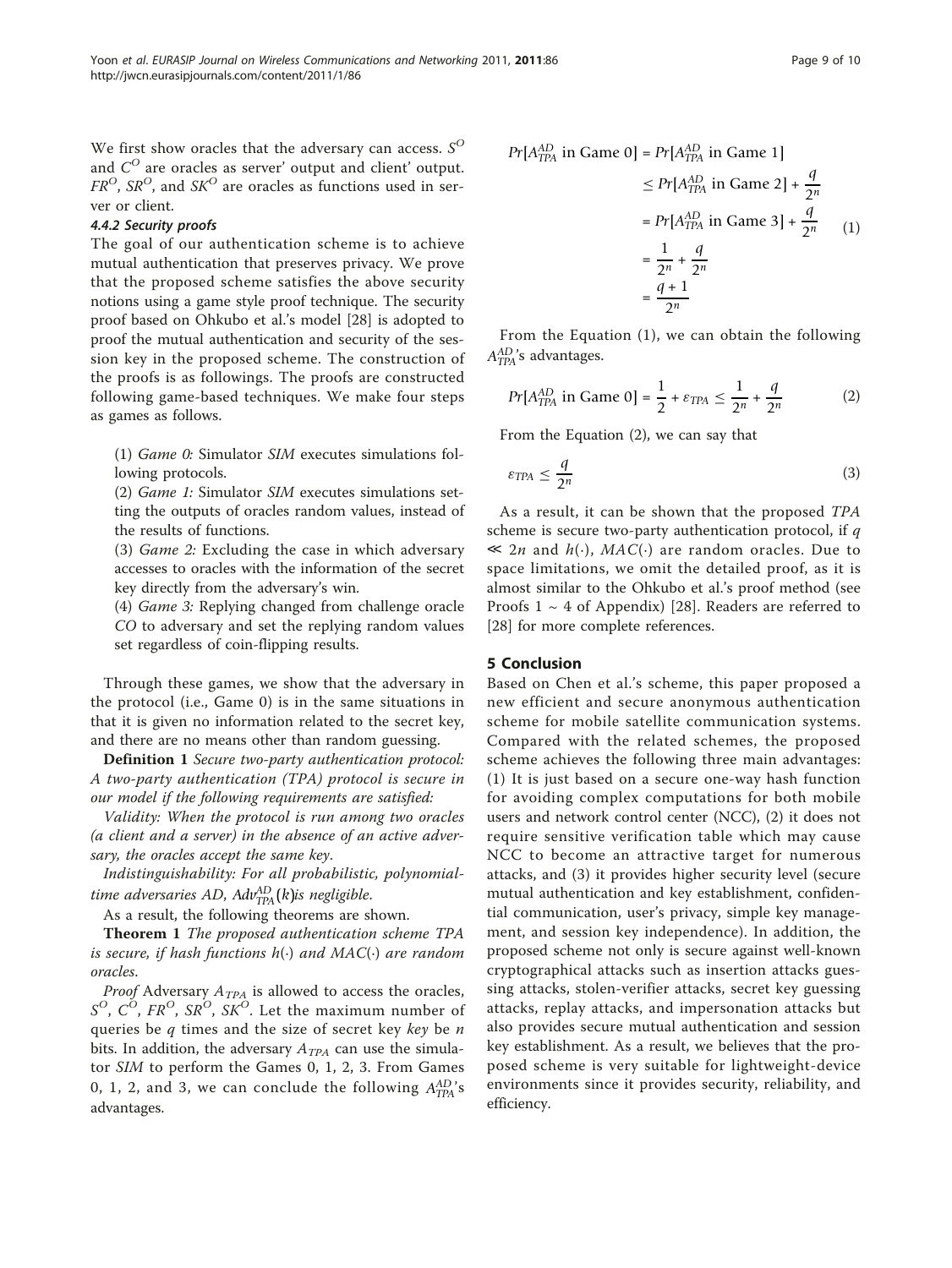We first show oracles that the adversary can access.  $S^O$ and  $C^O$  are oracles as server' output and client' output.  $FR^{O}$ ,  $SR^{O}$ , and  $SK^{O}$  are oracles as functions used in server or client.

#### 4.4.2 Security proofs

The goal of our authentication scheme is to achieve mutual authentication that preserves privacy. We prove that the proposed scheme satisfies the above security notions using a game style proof technique. The security proof based on Ohkubo et al.'s model [\[28\]](#page-9-0) is adopted to proof the mutual authentication and security of the session key in the proposed scheme. The construction of the proofs is as followings. The proofs are constructed following game-based techniques. We make four steps as games as follows.

(1) Game 0: Simulator SIM executes simulations following protocols.

(2) Game 1: Simulator SIM executes simulations setting the outputs of oracles random values, instead of the results of functions.

(3) Game 2: Excluding the case in which adversary accesses to oracles with the information of the secret key directly from the adversary's win.

(4) Game 3: Replying changed from challenge oracle CO to adversary and set the replying random values set regardless of coin-flipping results.

Through these games, we show that the adversary in the protocol (i.e., Game 0) is in the same situations in that it is given no information related to the secret key, and there are no means other than random guessing.

Definition 1 Secure two-party authentication protocol: A two-party authentication (TPA) protocol is secure in our model if the following requirements are satisfied:

Validity: When the protocol is run among two oracles (a client and a server) in the absence of an active adversary, the oracles accept the same key.

Indistinguishability: For all probabilistic, polynomialtime adversaries AD, *AdvAD TPA*(*k*)is negligible.

As a result, the following theorems are shown.

Theorem 1 The proposed authentication scheme TPA is secure, if hash functions  $h(\cdot)$  and  $MAC(\cdot)$  are random oracles.

*Proof* Adversary  $A_{TPA}$  is allowed to access the oracles,  $S^O$ ,  $C^O$ ,  $FR^O$ ,  $SR^O$ ,  $SK^O$ . Let the maximum number of queries be  $q$  times and the size of secret key key be  $n$ bits. In addition, the adversary  $A_{TPA}$  can use the simulator SIM to perform the Games 0, 1, 2, 3. From Games 0, 1, 2, and 3, we can conclude the following *AAD TPA*'s advantages.

$$
Pr[A_{TPA}^{AD} \text{ in Game 0}] = Pr[A_{TPA}^{AD} \text{ in Game 1}]
$$
  
\n
$$
\leq Pr[A_{TPA}^{AD} \text{ in Game 2}] + \frac{q}{2^n}
$$
  
\n
$$
= Pr[A_{TPA}^{AD} \text{ in Game 3}] + \frac{q}{2^n}
$$
  
\n
$$
= \frac{1}{2^n} + \frac{q}{2^n}
$$
  
\n
$$
= \frac{q+1}{2^n}
$$
 (1)

From the Equation (1), we can obtain the following *AAD TPA*'s advantages.

$$
Pr[A_{TPA}^{AD} \text{ in Game 0}] = \frac{1}{2} + \varepsilon_{TPA} \le \frac{1}{2^n} + \frac{q}{2^n} \tag{2}
$$

From the Equation (2), we can say that

$$
\varepsilon_{TPA} \le \frac{q}{2^n} \tag{3}
$$

As a result, it can be shown that the proposed TPA scheme is secure two-party authentication protocol, if  $q$  $\ll$  2*n* and *h*(.), *MAC*(.) are random oracles. Due to space limitations, we omit the detailed proof, as it is almost similar to the Ohkubo et al.'s proof method (see Proofs  $1 \sim 4$  of Appendix) [[28\]](#page-9-0). Readers are referred to [[28\]](#page-9-0) for more complete references.

### 5 Conclusion

Based on Chen et al.'s scheme, this paper proposed a new efficient and secure anonymous authentication scheme for mobile satellite communication systems. Compared with the related schemes, the proposed scheme achieves the following three main advantages: (1) It is just based on a secure one-way hash function for avoiding complex computations for both mobile users and network control center (NCC), (2) it does not require sensitive verification table which may cause NCC to become an attractive target for numerous attacks, and (3) it provides higher security level (secure mutual authentication and key establishment, confidential communication, user's privacy, simple key management, and session key independence). In addition, the proposed scheme not only is secure against well-known cryptographical attacks such as insertion attacks guessing attacks, stolen-verifier attacks, secret key guessing attacks, replay attacks, and impersonation attacks but also provides secure mutual authentication and session key establishment. As a result, we believes that the proposed scheme is very suitable for lightweight-device environments since it provides security, reliability, and efficiency.